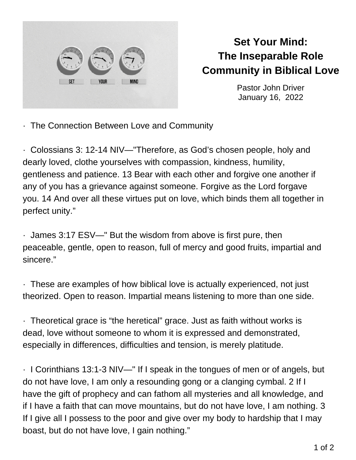

# **Set Your Mind: The Inseparable Role Community in Biblical Love**

Pastor John Driver January 16, 2022

· The Connection Between Love and Community

· Colossians 3: 12-14 NIV—"Therefore, as God's chosen people, holy and dearly loved, clothe yourselves with compassion, kindness, humility, gentleness and patience. 13 Bear with each other and forgive one another if any of you has a grievance against someone. Forgive as the Lord forgave you. 14 And over all these virtues put on love, which binds them all together in perfect unity."

· James 3:17 ESV—" But the wisdom from above is first pure, then peaceable, gentle, open to reason, full of mercy and good fruits, impartial and sincere."

· These are examples of how biblical love is actually experienced, not just theorized. Open to reason. Impartial means listening to more than one side.

· Theoretical grace is "the heretical" grace. Just as faith without works is dead, love without someone to whom it is expressed and demonstrated, especially in differences, difficulties and tension, is merely platitude.

· I Corinthians 13:1-3 NIV—" If I speak in the tongues of men or of angels, but do not have love, I am only a resounding gong or a clanging cymbal. 2 If I have the gift of prophecy and can fathom all mysteries and all knowledge, and if I have a faith that can move mountains, but do not have love, I am nothing. 3 If I give all I possess to the poor and give over my body to hardship that I may boast, but do not have love, I gain nothing."